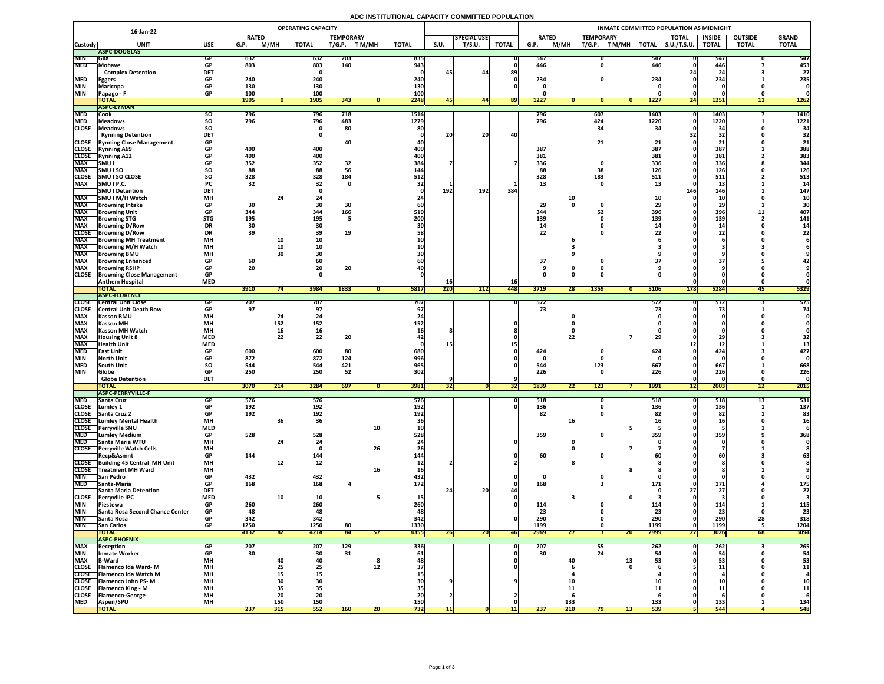# **ADC INSTITUTIONAL CAPACITY COMMITTED POPULATION**

|                              | 16-Jan-22                                                | <b>OPERATING CAPACITY</b> |                  |                  |                 |                   |           |                   |      |                    |              |                 | INMATE COMMITTED POPULATION AS MIDNIGHT |                                        |              |                     |                       |                                                                                                                                                                                                                                                                                                                                                                                                                           |              |  |
|------------------------------|----------------------------------------------------------|---------------------------|------------------|------------------|-----------------|-------------------|-----------|-------------------|------|--------------------|--------------|-----------------|-----------------------------------------|----------------------------------------|--------------|---------------------|-----------------------|---------------------------------------------------------------------------------------------------------------------------------------------------------------------------------------------------------------------------------------------------------------------------------------------------------------------------------------------------------------------------------------------------------------------------|--------------|--|
|                              |                                                          |                           | <b>RATED</b>     |                  |                 | <b>TEMPORARY</b>  |           |                   |      | <b>SPECIAL USE</b> |              | <b>RATED</b>    |                                         | <b>TEMPORARY</b>                       |              | <b>TOTAL</b>        | <b>INSIDE</b>         | <b>OUTSIDE</b>                                                                                                                                                                                                                                                                                                                                                                                                            | <b>GRAND</b> |  |
| <b>Custody</b>               | <b>UNIT</b>                                              | <b>USE</b>                | G.P.             | <b>M/MH</b>      | <b>TOTAL</b>    | T/G.P.            | T M/MH    | <b>TOTAL</b>      | S.U. | <b>T/S.U.</b>      | <b>TOTAL</b> | G.P.            | M/MH                                    | $\overline{\mathsf{T/G.P.}}$<br>T M/MH | <b>TOTAL</b> | $\vert$ S.U./T.S.U. | <b>TOTAL</b>          | <b>TOTAL</b>                                                                                                                                                                                                                                                                                                                                                                                                              | <b>TOTAL</b> |  |
|                              | ASPC-DOUGLAS                                             |                           |                  |                  |                 |                   |           |                   |      |                    |              |                 |                                         |                                        |              |                     |                       |                                                                                                                                                                                                                                                                                                                                                                                                                           |              |  |
| <b>MIN</b>                   | <b>Sila</b>                                              |                           | 632              |                  | 632             | <b>203</b>        |           | 835               |      |                    |              | 547             |                                         |                                        | 547          |                     | 547                   |                                                                                                                                                                                                                                                                                                                                                                                                                           | 547          |  |
| <b>MED</b>                   | Mohave<br><b>Complex Detention</b>                       | <b>GP</b><br><b>DET</b>   | 803              |                  | 803             | <b>140</b>        |           | 943               |      | 44                 | 89           | 446             |                                         |                                        | 446          |                     | 446                   |                                                                                                                                                                                                                                                                                                                                                                                                                           | 453<br>27    |  |
| <b>MED</b>                   | <b>Eggers</b>                                            | <b>GP</b>                 | 240 <sub>1</sub> |                  | 240             |                   |           | 240               |      |                    |              | 234             |                                         |                                        | 234          |                     | 234                   |                                                                                                                                                                                                                                                                                                                                                                                                                           | 235          |  |
| <b>MIN</b>                   | <b>Maricopa</b>                                          | <b>GP</b>                 | <b>130</b>       |                  | 130             |                   |           | 130               |      |                    |              |                 |                                         |                                        |              |                     |                       |                                                                                                                                                                                                                                                                                                                                                                                                                           |              |  |
| <b>MIN</b>                   | Papago - F                                               | <b>GP</b>                 | 100              |                  | 100             |                   |           | 100               |      |                    |              |                 |                                         |                                        |              |                     |                       |                                                                                                                                                                                                                                                                                                                                                                                                                           |              |  |
|                              | <b>TOTAL</b>                                             |                           | <b>1905</b>      |                  | <b>1905</b>     | 343               |           | 2248              | 45   | 44                 | <b>891</b>   | <b>1227</b>     |                                         |                                        | <b>1227</b>  | 24                  | <b>1251</b>           | $\begin{array}{c c c c c} \textbf{1} & \textbf{1} & \textbf{1} & \textbf{1} & \textbf{1} & \textbf{1} & \textbf{1} & \textbf{1} & \textbf{1} & \textbf{1} & \textbf{1} & \textbf{1} & \textbf{1} & \textbf{1} & \textbf{1} & \textbf{1} & \textbf{1} & \textbf{1} & \textbf{1} & \textbf{1} & \textbf{1} & \textbf{1} & \textbf{1} & \textbf{1} & \textbf{1} & \textbf{1} & \textbf{1} & \textbf{1} & \textbf{1} & \text$ | <b>1262</b>  |  |
|                              | <b>ASPC-EYMAN</b>                                        |                           |                  |                  |                 |                   |           |                   |      |                    |              |                 |                                         |                                        |              |                     |                       |                                                                                                                                                                                                                                                                                                                                                                                                                           |              |  |
| <b>MED</b>                   | Cook                                                     | <b>SO</b>                 | 796              |                  | 796             | 718               |           | 1514              |      |                    |              | 796             |                                         | 607                                    | 1403         |                     | 1403                  |                                                                                                                                                                                                                                                                                                                                                                                                                           | <b>1410</b>  |  |
| <b>MED</b>                   | Meadows                                                  | <b>SO</b>                 | 796              |                  | 796             | 483               |           | 1279              |      |                    |              | 796             |                                         | 424                                    | 1220         |                     | 1220                  |                                                                                                                                                                                                                                                                                                                                                                                                                           | 1221         |  |
| <b>CLOSE</b>                 | <b>TMeadows</b>                                          | <b>SO</b>                 |                  |                  |                 | 80                |           |                   |      |                    |              |                 |                                         |                                        |              |                     | $\mathbf{2}$          |                                                                                                                                                                                                                                                                                                                                                                                                                           | 34           |  |
|                              | <b>Rynning Detention</b>                                 | <b>DET</b>                |                  |                  |                 |                   |           |                   | 20   | 20                 | 40           |                 |                                         |                                        |              |                     | 32                    |                                                                                                                                                                                                                                                                                                                                                                                                                           |              |  |
|                              | <b>CLOSE</b> Rynning Close Management                    | <b>GP</b>                 |                  |                  | 400             |                   |           |                   |      |                    |              |                 |                                         |                                        |              |                     |                       |                                                                                                                                                                                                                                                                                                                                                                                                                           |              |  |
| <b>CLOSE</b><br><b>CLOSE</b> | <b>Rynning A69</b><br><b>Rynning A12</b>                 | <b>GP</b><br><b>GP</b>    | 400<br>400       |                  | 400             |                   |           | <b>400</b><br>400 |      |                    |              | 387<br>381      |                                         |                                        | 387<br>381   |                     | 387<br>381            |                                                                                                                                                                                                                                                                                                                                                                                                                           | 388<br>383   |  |
| <b>MAX</b>                   | <b>SMU I</b>                                             | <b>GP</b>                 | 352              |                  | 352             | 32                |           | 384               |      |                    |              | 336             |                                         |                                        | 336          |                     | 336                   |                                                                                                                                                                                                                                                                                                                                                                                                                           | 344          |  |
| <b>MAX</b>                   | <b>SMUISO</b>                                            | SO                        | 88               |                  | 88              | 56                |           | 144               |      |                    |              |                 |                                         |                                        | 126          |                     | 126                   |                                                                                                                                                                                                                                                                                                                                                                                                                           | 126          |  |
| <b>CLOSE</b>                 | <b>SMU I SO CLOSE</b>                                    | <b>SO</b>                 | 328              |                  | 328             | 184               |           | <b>512</b>        |      |                    |              | 328             |                                         | 183                                    | 511          |                     | 511                   |                                                                                                                                                                                                                                                                                                                                                                                                                           | 513          |  |
| <b>MAX</b>                   | SMU I P.C.                                               | <b>PC</b>                 | 32               |                  |                 |                   |           |                   |      |                    |              |                 |                                         |                                        |              |                     | ᅩJ                    |                                                                                                                                                                                                                                                                                                                                                                                                                           |              |  |
|                              | <b>SMU I Detention</b>                                   | <b>DET</b>                |                  |                  |                 |                   |           |                   | 192  | 192                | 384          |                 |                                         |                                        |              | 146                 | 146                   |                                                                                                                                                                                                                                                                                                                                                                                                                           | 147          |  |
| <b>MAX</b>                   | <b>SMU I M/H Watch</b>                                   | <b>MH</b>                 |                  |                  |                 |                   |           |                   |      |                    |              |                 |                                         |                                        |              |                     |                       |                                                                                                                                                                                                                                                                                                                                                                                                                           |              |  |
| <b>MAX</b>                   | Browning Intake                                          | <b>GP</b>                 | 30               |                  | JU              |                   |           |                   |      |                    |              |                 |                                         |                                        |              |                     | LJ                    |                                                                                                                                                                                                                                                                                                                                                                                                                           |              |  |
| <b>MAX</b>                   | <b>Browning Unit</b>                                     | <b>GP</b>                 | 344              |                  | 344             | 166               |           | 510               |      |                    |              | 344             |                                         |                                        | 396          |                     | <b>396</b>            |                                                                                                                                                                                                                                                                                                                                                                                                                           | 407          |  |
| <b>MAX</b>                   | <b>Browning STG</b>                                      | <b>STG</b>                | <b>195</b>       |                  | 195             |                   |           | 200               |      |                    |              | 139             |                                         |                                        | 139          |                     | 139                   |                                                                                                                                                                                                                                                                                                                                                                                                                           | 141          |  |
| <b>MAX</b>                   | <b>Browning D/Row</b>                                    | <b>DR</b>                 | 30               |                  |                 |                   |           |                   |      |                    |              |                 |                                         |                                        |              |                     | -45                   |                                                                                                                                                                                                                                                                                                                                                                                                                           |              |  |
| <b>CLOSE</b><br><b>MAX</b>   | <b>TBrowning D/Row</b><br><b>Browning MH Treatment</b>   | <b>DR</b><br><b>MH</b>    | 39               |                  |                 |                   |           |                   |      |                    |              |                 |                                         |                                        |              |                     |                       |                                                                                                                                                                                                                                                                                                                                                                                                                           |              |  |
| <b>MAX</b>                   | <b>TBrowning M/H Watch</b>                               | <b>MH</b>                 |                  |                  |                 |                   |           |                   |      |                    |              |                 |                                         |                                        |              |                     |                       |                                                                                                                                                                                                                                                                                                                                                                                                                           |              |  |
| <b>MAX</b>                   | <b>Browning BMU</b>                                      | <b>MH</b>                 |                  |                  |                 |                   |           |                   |      |                    |              |                 |                                         |                                        |              |                     |                       |                                                                                                                                                                                                                                                                                                                                                                                                                           |              |  |
| <b>MAX</b>                   | <b>Browning Enhanced</b>                                 | <b>GP</b>                 | 60               |                  |                 |                   |           |                   |      |                    |              |                 |                                         |                                        |              |                     |                       |                                                                                                                                                                                                                                                                                                                                                                                                                           |              |  |
| <b>MAX</b>                   | <b>Browning RSHP</b>                                     | <b>GP</b>                 | <b>CC</b><br>ZU. |                  | ZU I            | ZUI               |           |                   |      |                    |              |                 |                                         |                                        |              |                     |                       |                                                                                                                                                                                                                                                                                                                                                                                                                           |              |  |
| <b>CLOSE</b>                 | <b>Browning Close Management</b>                         | <b>GP</b>                 |                  |                  |                 |                   |           |                   |      |                    |              |                 |                                         |                                        |              |                     |                       |                                                                                                                                                                                                                                                                                                                                                                                                                           |              |  |
|                              | <b>Anthem Hospital</b>                                   | <b>MED</b>                |                  |                  |                 |                   |           |                   | TQ   |                    | <b>16</b>    |                 |                                         |                                        |              |                     |                       |                                                                                                                                                                                                                                                                                                                                                                                                                           |              |  |
|                              | <b>TOTAL</b>                                             |                           | 3910             |                  | 3984            | 1833              |           | 5817              | 220  | 212                | 448          | 3719            | ZOI.                                    | <b>1359</b>                            | 5106         | <b>178</b>          | 5284                  | 451                                                                                                                                                                                                                                                                                                                                                                                                                       | 5329         |  |
|                              | <b>ASPC-FLORENCE</b>                                     |                           |                  |                  |                 |                   |           |                   |      |                    |              |                 |                                         |                                        |              |                     |                       |                                                                                                                                                                                                                                                                                                                                                                                                                           |              |  |
| <b>CLOSE</b>                 | <b>Central Unit Close</b>                                | GP                        | 707              |                  | 707             |                   |           | 707'              |      |                    |              | 572<br>75       |                                         |                                        | <b>5721</b>  |                     | 572                   |                                                                                                                                                                                                                                                                                                                                                                                                                           | 575          |  |
| <b>MAX</b>                   | <b>CLOSE</b> Central Unit Death Row<br><b>Kasson BMU</b> | <b>GP</b><br><b>MH</b>    | 97               |                  |                 |                   |           |                   |      |                    |              |                 |                                         |                                        |              |                     |                       |                                                                                                                                                                                                                                                                                                                                                                                                                           | 74           |  |
| <b>MAX</b>                   | <b>Kasson MH</b>                                         | <b>MH</b>                 |                  | 152              | 152             |                   |           | 152               |      |                    |              |                 |                                         |                                        |              |                     |                       |                                                                                                                                                                                                                                                                                                                                                                                                                           |              |  |
| <b>MAX</b>                   | <b>Kasson MH Watch</b>                                   | <b>MH</b>                 |                  | <b>16</b>        |                 |                   |           |                   |      |                    |              |                 |                                         |                                        |              |                     |                       |                                                                                                                                                                                                                                                                                                                                                                                                                           |              |  |
| <b>MAX</b>                   | <b>Housing Unit 8</b>                                    | <b>MED</b>                |                  | 22               |                 | $\bigcap$<br>ZU I |           |                   |      |                    |              |                 |                                         |                                        |              |                     |                       |                                                                                                                                                                                                                                                                                                                                                                                                                           |              |  |
| <b>MAX</b>                   | <b>Health Unit</b>                                       | <b>MED</b>                |                  |                  |                 |                   |           |                   |      |                    |              |                 |                                         |                                        |              |                     |                       |                                                                                                                                                                                                                                                                                                                                                                                                                           |              |  |
| <b>MED</b>                   | <b>East Unit</b>                                         | <b>GP</b>                 | 600              |                  | 600             | 80                |           | 680               |      |                    |              | 424             |                                         |                                        | <b>474</b>   |                     | 424                   |                                                                                                                                                                                                                                                                                                                                                                                                                           | 427          |  |
| <b>MIN</b>                   | <b>North Unit</b>                                        | <b>GP</b>                 | 872              |                  | 872             | 124               |           | 996               |      |                    |              |                 |                                         |                                        |              |                     |                       |                                                                                                                                                                                                                                                                                                                                                                                                                           |              |  |
| <b>MED</b>                   | <b>South Unit</b>                                        | <b>SO</b>                 | 544              |                  | 544             | 421               |           | 965               |      |                    |              | 544             |                                         | 123                                    | 667          |                     | 667                   |                                                                                                                                                                                                                                                                                                                                                                                                                           | 668          |  |
| <b>MIN</b>                   | <b>Slobe</b>                                             | <b>GP</b>                 | 250              |                  | 250             | 52                |           | 302               |      |                    |              | 226             |                                         |                                        | 226          |                     | 226                   |                                                                                                                                                                                                                                                                                                                                                                                                                           | 226          |  |
|                              | <b>Globe Detention</b>                                   | <b>DET</b>                |                  | $\overline{211}$ |                 |                   |           |                   |      |                    |              |                 | $\overline{\mathbf{1}}$                 |                                        |              |                     |                       | $\overline{A}$                                                                                                                                                                                                                                                                                                                                                                                                            |              |  |
|                              | TOTAL<br><b>ASPC-PERRYVILLE-F</b>                        |                           | 3070             | Z14              | 3284            | 697               |           | 3981              | 52   |                    |              | 1839            | 22                                      | 123                                    | <b>1991</b>  | L                   | 2003                  | 12                                                                                                                                                                                                                                                                                                                                                                                                                        | 2015         |  |
| <b>MED</b>                   | <b>Santa Cruz</b>                                        |                           | 576              |                  | 576             |                   |           | <b>576</b>        |      |                    |              | 518             |                                         |                                        | 518          |                     | <b>PTC</b>            |                                                                                                                                                                                                                                                                                                                                                                                                                           | 531          |  |
| <b>CLOSE</b>                 | <b>Lumley 1</b>                                          |                           | 192              |                  | 192             |                   |           | <b>192</b>        |      |                    |              | 136             |                                         |                                        | 136          |                     | 136                   |                                                                                                                                                                                                                                                                                                                                                                                                                           | 137          |  |
|                              | CLOSE Santa Cruz 2                                       | <b>GP</b>                 | 192              |                  | 192             |                   |           | 192               |      |                    |              |                 |                                         |                                        |              |                     | 82                    |                                                                                                                                                                                                                                                                                                                                                                                                                           | 83           |  |
|                              | <b>CLOSE</b> Lumley Mental Health                        | <b>MH</b>                 |                  |                  | 36              |                   |           |                   |      |                    |              |                 |                                         |                                        |              |                     |                       |                                                                                                                                                                                                                                                                                                                                                                                                                           |              |  |
|                              | CLOSE Perryville SNU                                     | <b>MED</b>                |                  |                  |                 |                   | <b>10</b> |                   |      |                    |              |                 |                                         |                                        |              |                     |                       |                                                                                                                                                                                                                                                                                                                                                                                                                           |              |  |
| <b>MED</b>                   | <b>Lumley Medium</b>                                     | <b>GP</b>                 | 528              |                  | 528             |                   |           | 528               |      |                    |              | 359             |                                         |                                        | 355          |                     | 359                   |                                                                                                                                                                                                                                                                                                                                                                                                                           | 368          |  |
| <b>MED</b>                   | <b>Santa Maria WTU</b>                                   | <b>MH</b>                 |                  |                  |                 |                   |           |                   |      |                    |              |                 |                                         |                                        |              |                     |                       |                                                                                                                                                                                                                                                                                                                                                                                                                           |              |  |
|                              | <b>CLOSE</b> Perryville Watch Cells                      | <b>MH</b>                 |                  |                  |                 |                   | 26        |                   |      |                    |              |                 |                                         |                                        |              |                     |                       |                                                                                                                                                                                                                                                                                                                                                                                                                           |              |  |
|                              | Recp&Asmnt<br>CLOSE Building 45 Central MH Unit          | <b>GP</b><br><b>MH</b>    | 144              |                  | 144             |                   |           | 144               |      |                    |              | 60              |                                         |                                        |              |                     |                       |                                                                                                                                                                                                                                                                                                                                                                                                                           |              |  |
|                              | <b>CLOSE</b> Treatment MH Ward                           | <b>MH</b>                 |                  |                  |                 |                   |           |                   |      |                    |              |                 |                                         |                                        |              |                     |                       |                                                                                                                                                                                                                                                                                                                                                                                                                           |              |  |
| <b>MIN</b>                   | <b>San Pedro</b>                                         | <b>GP</b>                 | 432              |                  | 432             |                   |           | 432               |      |                    |              |                 |                                         |                                        |              |                     |                       |                                                                                                                                                                                                                                                                                                                                                                                                                           |              |  |
| <b>MED</b>                   | <b>Santa-Maria</b>                                       | <b>GP</b>                 | 168              |                  | 168             |                   |           | 172               |      |                    |              | 168             |                                         |                                        | <u> 171</u>  |                     | 171                   |                                                                                                                                                                                                                                                                                                                                                                                                                           | 175          |  |
|                              | <b>Santa Maria Detention</b>                             | <b>DET</b>                |                  |                  |                 |                   |           |                   |      | 20                 |              |                 |                                         |                                        |              |                     |                       |                                                                                                                                                                                                                                                                                                                                                                                                                           | 27           |  |
| <b>CLOSE</b>                 | <b>Perryville IPC</b>                                    | <b>MED</b>                |                  |                  |                 |                   |           |                   |      |                    |              |                 |                                         |                                        |              |                     |                       |                                                                                                                                                                                                                                                                                                                                                                                                                           |              |  |
| <b>MIN</b>                   | <b>Piestewa</b>                                          | <b>GP</b>                 | 260              |                  | 260             |                   |           |                   |      |                    |              | 114             |                                         |                                        |              |                     |                       |                                                                                                                                                                                                                                                                                                                                                                                                                           | 115          |  |
| <b>MIN</b>                   | Santa Rosa Second Chance Center                          | <b>GP</b>                 |                  |                  | 48              |                   |           |                   |      |                    |              | 23              |                                         |                                        |              |                     | 23                    |                                                                                                                                                                                                                                                                                                                                                                                                                           | 23           |  |
| <b>MIN</b>                   | Santa Rosa                                               | <b>GP</b>                 | 342              |                  | 342             |                   |           | 342               |      |                    |              | 290             |                                         |                                        | LJL          |                     | 290                   |                                                                                                                                                                                                                                                                                                                                                                                                                           | 318          |  |
| <b>MIN</b>                   | <b>San Carlos</b>                                        | <b>GP</b>                 | 1250             |                  | 1250            | 80                |           | 1330              |      |                    |              | 1199            |                                         |                                        | 1199         |                     | 1199                  |                                                                                                                                                                                                                                                                                                                                                                                                                           | 1204         |  |
|                              | <b>TOTAL</b><br><b>ASPC-PHOENIX</b>                      |                           | 4132             | <b>821</b>       | 4214            | 84                | 51        | 4355              | 20   | ZUI                | <b>461</b>   | 2949            | Z 1                                     | 20                                     | 2999         | <b>271</b>          | 3026                  | 68                                                                                                                                                                                                                                                                                                                                                                                                                        | 3094         |  |
| <b>MAX</b>                   | Reception                                                | <b>GP</b>                 | 207              |                  | 207             | <b>129</b>        |           | 336               |      |                    |              | 207             |                                         | ככ                                     | <b>2621</b>  |                     |                       |                                                                                                                                                                                                                                                                                                                                                                                                                           | 265          |  |
| <b>MIN</b>                   | Inmate Worker                                            | <b>GP</b>                 | 30               |                  | 30 <sup>1</sup> | 31                |           | 61                |      |                    |              | 30 <sup>1</sup> |                                         |                                        |              |                     | ZDZ  <br>$\mathbf{r}$ |                                                                                                                                                                                                                                                                                                                                                                                                                           | 54           |  |
| <b>MAX</b>                   | <b>B-Ward</b>                                            | <b>MH</b>                 |                  |                  |                 |                   |           |                   |      |                    |              |                 | <b>4</b>                                |                                        |              |                     |                       |                                                                                                                                                                                                                                                                                                                                                                                                                           | 53           |  |
|                              | CLOSE   Flamenco Ida Ward-M                              | <b>MH</b>                 |                  | LJ               |                 |                   |           |                   |      |                    |              |                 |                                         |                                        |              |                     |                       |                                                                                                                                                                                                                                                                                                                                                                                                                           | <b>11</b>    |  |
|                              | CLOSE   Flamenco Ida Watch M                             | <b>MH</b>                 |                  |                  |                 |                   |           |                   |      |                    |              |                 |                                         |                                        |              |                     |                       |                                                                                                                                                                                                                                                                                                                                                                                                                           |              |  |
|                              | <b>CLOSE</b> Flamenco John PS-M                          | <b>MH</b>                 |                  |                  |                 |                   |           |                   |      |                    |              |                 |                                         |                                        |              |                     |                       |                                                                                                                                                                                                                                                                                                                                                                                                                           | <b>10</b>    |  |
|                              | <b>CLOSE</b> Flamenco King - M                           | <b>MH</b>                 |                  | 55.              |                 |                   |           |                   |      |                    |              |                 |                                         |                                        |              |                     |                       |                                                                                                                                                                                                                                                                                                                                                                                                                           | 11           |  |
| <b>CLOSE</b>                 | <b>TFlamenco-George</b>                                  | <b>MH</b>                 |                  |                  | ZU              |                   |           |                   |      |                    |              |                 |                                         |                                        |              |                     |                       |                                                                                                                                                                                                                                                                                                                                                                                                                           |              |  |
| <b>MED</b>                   | <b>Aspen/SPU</b>                                         | <b>MH</b>                 |                  | 150              | 150             |                   |           | <b>150</b>        |      |                    |              |                 | 133                                     |                                        | 133          |                     | 133                   |                                                                                                                                                                                                                                                                                                                                                                                                                           | 134          |  |
|                              | <b>TOTAL</b>                                             |                           | 237              | 315              | 552             | <b>160</b>        |           | 732               |      |                    |              | 237             | 210                                     | 13 <br>791                             | <b>539</b>   |                     | 544                   |                                                                                                                                                                                                                                                                                                                                                                                                                           | 548          |  |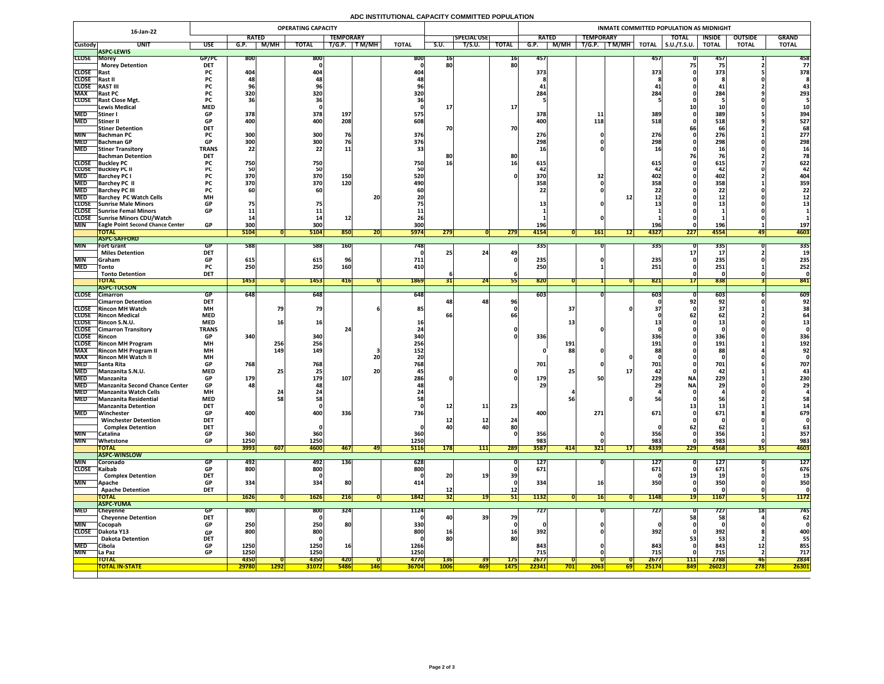# **ADC INSTITUTIONAL CAPACITY COMMITTED POPULATION**

|                          | 16-Jan-22                                                           | <b>OPERATING CAPACITY</b> |                                 |             |                  |             |            |              |                 |                    |                 | INMATE COMMITTED POPULATION AS MIDNIGHT |                                |                         |                     |               |                |              |  |  |  |
|--------------------------|---------------------------------------------------------------------|---------------------------|---------------------------------|-------------|------------------|-------------|------------|--------------|-----------------|--------------------|-----------------|-----------------------------------------|--------------------------------|-------------------------|---------------------|---------------|----------------|--------------|--|--|--|
|                          |                                                                     |                           | <b>RATED</b>                    |             | <b>TEMPORARY</b> |             |            |              |                 | <b>SPECIAL USE</b> |                 | <b>RATED</b>                            | <b>TEMPORARY</b>               |                         | <b>TOTAL</b>        | <b>INSIDE</b> | <b>OUTSIDE</b> | <b>GRAND</b> |  |  |  |
| <b>Custody</b>           | <b>UNIT</b>                                                         | <b>USE</b>                | G.P.                            | M/MH        | <b>TOTAL</b>     | T/G.P.      | T M/MH     | <b>TOTAL</b> | S.U.            | T/S.U.             | <b>TOTAL</b>    | M/MH<br>G.P.                            | $\top$ T M/MH $\top$<br>T/G.P. | <b>TOTAL</b>            | $\vert$ S.U./T.S.U. | <b>TOTAL</b>  | <b>TOTAL</b>   | <b>TOTAL</b> |  |  |  |
| <b>CLOSE Morey</b>       | <b>ASPC-LEWIS</b>                                                   | GP/PC                     | 800                             |             | 800              |             |            | 800          | 10 <sub>1</sub> |                    | 16              | 457                                     |                                | 457                     |                     | 457           |                | 458          |  |  |  |
|                          | <b>Morey Detention</b>                                              | <b>DET</b>                |                                 |             |                  |             |            |              | 80              |                    | 80              |                                         |                                |                         |                     |               |                | 77           |  |  |  |
| <b>CLOSE</b> Rast        |                                                                     | <b>PC</b>                 | 404                             |             | 404              |             |            | 404          |                 |                    |                 | 373                                     |                                | 373                     |                     | 373           |                | 378          |  |  |  |
| CLOSE Rast II            |                                                                     | rl.                       |                                 |             |                  |             |            |              |                 |                    |                 |                                         |                                |                         |                     |               |                |              |  |  |  |
| <b>CLOSE</b>             | <b>RAST III</b>                                                     | ۲Ć.                       |                                 |             | 70               |             |            |              |                 |                    |                 |                                         |                                |                         |                     |               |                |              |  |  |  |
| <b>MAX</b>               | <b>Rast PC</b>                                                      | <b>PC</b>                 | 320                             |             | 320              |             |            | 320          |                 |                    |                 | 284                                     |                                | 284                     |                     | 284           |                | 293          |  |  |  |
|                          | CLOSE Rast Close Mgt.<br><b>Lewis Medical</b>                       | <b>PC</b><br><b>MED</b>   |                                 |             |                  |             |            |              |                 |                    | <b>17</b>       |                                         |                                |                         |                     |               |                |              |  |  |  |
| <b>MED</b>               | <b>Stiner</b> I                                                     | <b>GP</b>                 | 378                             |             | 378              | 197         |            | 575          |                 |                    |                 | 378                                     |                                | 389                     |                     | 389           |                | 394          |  |  |  |
| <b>MED</b>               | Stiner II                                                           | <b>GP</b>                 | 400                             |             | 400              | 208         |            | 608          |                 |                    |                 | 400                                     | 118                            | 518                     |                     | 518           |                | 527          |  |  |  |
|                          | <b>Stiner Detention</b>                                             | <b>DET</b>                |                                 |             |                  |             |            |              | 70              |                    | <b>70</b>       |                                         |                                |                         |                     | 66            |                | 68           |  |  |  |
| <b>MIN</b>               | <b>Bachman PC</b>                                                   |                           | 300                             |             | 300              | 76          |            | 376          |                 |                    |                 | 276                                     |                                | 276                     |                     | 276           |                | 277          |  |  |  |
|                          | MED Bachman GP                                                      | <b>GP</b>                 | 300 <sub>l</sub><br><b>PODE</b> |             | 300              |             |            | 376          |                 |                    |                 | 708<br><b>ZJO</b>                       |                                | 2081<br><b>270</b>      |                     | 200<br>LJO    |                | 298          |  |  |  |
| <b>MED</b>               | <b>Stiner Transitory</b>                                            | <b>TRANS</b>              | 22                              |             | 22               | ᆂᆂ          |            |              |                 |                    |                 |                                         |                                |                         |                     |               |                |              |  |  |  |
|                          | <b>Bachman Detention</b><br><b>CLOSE</b> Buckley PC                 | <b>DET</b>                | 750 <sub>1</sub>                |             | 750              |             |            | 750          | 8ľ<br><b>16</b> |                    | 80              | 615                                     |                                | 615                     |                     | 615           |                | 622          |  |  |  |
|                          | <b>CLOSE</b> Buckley PC II                                          |                           |                                 |             | 50               |             |            |              |                 |                    |                 |                                         |                                |                         |                     |               |                |              |  |  |  |
| <b>MED</b>               | <b>Barchey PC I</b>                                                 |                           | 370                             |             | 370              | 150         |            | 520          |                 |                    |                 | 370                                     |                                | 402                     |                     | 402           |                | 404          |  |  |  |
| <b>MED</b>               | <b>Barchey PC II</b>                                                |                           | 370                             |             | 370              | 120         |            | 490          |                 |                    |                 | 358                                     |                                | 358                     |                     | 358           |                | 359          |  |  |  |
| <b>MED</b>               | <b>Barchey PC III</b>                                               |                           |                                 |             | 60               |             |            |              |                 |                    |                 |                                         |                                |                         |                     |               |                | 22           |  |  |  |
| <b>MED</b>               | <b>Barchey PC Watch Cells</b>                                       | <b>MH</b>                 |                                 |             |                  |             | 20         |              |                 |                    |                 |                                         |                                |                         |                     | ᆂᆇ            |                |              |  |  |  |
|                          | <b>CLOSE</b> Sunrise Male Minors                                    | <b>GP</b><br><b>GP</b>    |                                 |             |                  |             |            |              |                 |                    |                 |                                         |                                |                         |                     |               |                |              |  |  |  |
|                          | <b>CLOSE</b> Sunrise Femal Minors<br>CLOSE Sunrise Minors CDU/Watch |                           |                                 |             |                  |             |            |              |                 |                    |                 |                                         |                                |                         |                     |               |                |              |  |  |  |
| <b>MIN</b>               | <b>TEagle Point Second Chance Center</b>                            | <b>GP</b>                 | 300                             |             | 300              |             |            | 300          |                 |                    |                 | 196                                     |                                | <b>196</b>              |                     | 196           |                | 197          |  |  |  |
|                          | <b>TOTAL</b>                                                        |                           | 5104                            |             | 5104             | 850         | ZU         | <b>5974</b>  | 279             |                    | 279             | 4154                                    | <b>161</b>                     | 4327<br>12 <sup>1</sup> | 227                 | 4554          | 491            | 4603         |  |  |  |
|                          | <b>ASPC-SAFFORD</b>                                                 |                           |                                 |             |                  |             |            |              |                 |                    |                 |                                         |                                |                         |                     |               |                |              |  |  |  |
| <b>MIN</b>               | <b>Fort Grant</b>                                                   | GP                        | 588                             |             | 588              | <b>160</b>  |            | 748          |                 |                    |                 | 335                                     |                                | <b>3351</b>             |                     | 335           |                | 335          |  |  |  |
|                          | <b>Miles Detention</b>                                              | <b>DET</b>                |                                 |             |                  |             |            |              |                 | 24                 |                 |                                         |                                |                         |                     |               |                |              |  |  |  |
| <b>MIN</b><br><b>MED</b> | <b>Sanam</b>                                                        | <b>GP</b>                 | 615<br>250                      |             | 615<br>250       | 160         |            | 711<br>410   |                 |                    |                 | 235<br>250                              |                                | 235                     |                     | 235           |                | 235<br>252   |  |  |  |
|                          | <b>Tonto</b><br><b>Tonto Detention</b>                              | <b>PC</b><br><b>DET</b>   |                                 |             |                  |             |            |              |                 |                    |                 |                                         |                                | 251                     |                     | 251           |                |              |  |  |  |
|                          | <b>TOTAL</b>                                                        |                           | 1453                            |             | 1453             | 416         |            | 1869         |                 | 24                 |                 | 820                                     |                                | 821                     |                     | 838           |                | 841          |  |  |  |
|                          | <b>ASPC-TUCSON</b>                                                  |                           |                                 |             |                  |             |            |              |                 |                    |                 |                                         |                                |                         |                     |               |                |              |  |  |  |
|                          | CLOSE Cimarron                                                      | GP                        | 648                             |             | 648              |             |            | 648          |                 |                    |                 | 603                                     |                                | 6031                    |                     | 603           |                | 609          |  |  |  |
|                          | <b>Cimarron Detention</b>                                           | <b>DET</b>                |                                 |             |                  |             |            |              |                 | 48 <sub>1</sub>    | 96              |                                         |                                |                         |                     | 92            |                | 92           |  |  |  |
|                          | <b>CLOSE</b> Rincon MH Watch<br><b>CLOSE</b> Rincon Medical         | <b>MH</b><br><b>MED</b>   |                                 |             | 79               |             |            | 85           |                 |                    |                 | 37                                      |                                |                         |                     |               |                |              |  |  |  |
|                          | CLOSE Rincon S.N.U.                                                 | <b>MED</b>                |                                 |             | <b>16</b>        |             |            |              |                 |                    |                 |                                         |                                |                         |                     |               |                |              |  |  |  |
|                          | <b>CLOSE</b> Cimarron Transitory                                    | <b>TRANS</b>              |                                 |             |                  |             |            |              |                 |                    |                 |                                         |                                |                         |                     |               |                |              |  |  |  |
| <b>CLOSE</b> Rincon      |                                                                     | <b>GP</b>                 | 340                             |             | 340              |             |            | <b>340</b>   |                 |                    |                 | 336                                     |                                | 336                     |                     | 336           |                | 336          |  |  |  |
|                          | <b>CLOSE</b> Rincon MH Program                                      | <b>MH</b>                 |                                 | 256         | 256              |             |            | 256          |                 |                    |                 | 191                                     |                                | 191                     |                     | 191           |                | 192          |  |  |  |
| <b>MAX</b>               | <b>Rincon MH Program II</b>                                         | <b>MH</b>                 |                                 | 149         | 149              |             |            | 152          |                 |                    |                 | 88                                      |                                |                         |                     |               |                | 92           |  |  |  |
| <b>MAX</b>               | <b>Rincon MH Watch II</b>                                           | <b>MH</b>                 |                                 |             |                  |             | 20         |              |                 |                    |                 |                                         |                                |                         |                     |               |                |              |  |  |  |
| <b>MED</b>               | <b>Santa Rita</b>                                                   | <b>GP</b><br><b>MED</b>   | 768                             |             | 768              |             |            | 768          |                 |                    |                 | 701                                     |                                | 701                     |                     | 701           |                | 707          |  |  |  |
| <b>MED</b><br><b>MED</b> | Manzanita S.N.U.<br>Manzanita                                       | <b>GP</b>                 | 179                             |             | 25<br>179        | 107         | <b>20</b>  | 286          |                 |                    |                 | <b>179</b>                              |                                | 229                     | <b>NA</b>           | 42<br>229     |                | 230          |  |  |  |
|                          | MED Manzanita Second Chance Center                                  | <b>GP</b>                 | 481                             |             | 48               |             |            |              |                 |                    |                 | 29                                      |                                |                         | <b>NA</b>           | 29            |                | 29           |  |  |  |
| <b>MED</b>               | <b>Manzanita Watch Cells</b>                                        | <b>MH</b>                 |                                 |             |                  |             |            |              |                 |                    |                 |                                         |                                |                         |                     |               |                |              |  |  |  |
| <b>MED</b>               | Manzanita Residential                                               | <b>MED</b>                |                                 |             | 58               |             |            |              |                 |                    |                 |                                         |                                |                         |                     |               |                | 58           |  |  |  |
|                          | <b>Manzanita Detention</b>                                          | <b>DET</b>                |                                 |             |                  |             |            |              | <b>12</b>       | 11                 | 23              |                                         |                                |                         |                     |               |                |              |  |  |  |
| <b>MED</b>               | Winchester                                                          | <b>GP</b>                 | 400                             |             | 400              | 336         |            | 736          |                 |                    |                 | 400                                     | 271                            | 671                     |                     | 671           |                | 679          |  |  |  |
|                          | <b>Winchester Detention</b>                                         | <b>DET</b>                |                                 |             |                  |             |            |              | 40              | <b>12</b>          | 24              |                                         |                                |                         |                     |               |                |              |  |  |  |
| <b>MIN</b>               | <b>Complex Detention</b><br>Catalina                                | <b>DET</b><br><b>GP</b>   | 360                             |             | 360              |             |            | 360          |                 | 40                 | 80              | 356                                     |                                | 356                     |                     | 356           |                | 63<br>357    |  |  |  |
| <b>MIN</b>               | Whetstone                                                           | <b>GP</b>                 | 1250                            |             | 1250             |             |            | 1250         |                 |                    |                 | 983                                     |                                | 983                     |                     | 983           |                | 983          |  |  |  |
|                          | <b>TOTAL</b>                                                        |                           | 3993                            | 607         | 4600             | 467         | 47         | <b>5116</b>  | 178             | 111                | 289             | 3587<br>414                             | 321                            | 4339<br>17 <sup>1</sup> | 229                 | 4568          |                | 4603         |  |  |  |
|                          | <b>ASPC-WINSLOW</b>                                                 |                           |                                 |             |                  |             |            |              |                 |                    |                 |                                         |                                |                         |                     |               |                |              |  |  |  |
| <b>MIN</b>               | <b>Coronado</b>                                                     | GP                        | 492                             |             | 492              | <b>136</b>  |            | 628          |                 |                    |                 | <b>127</b>                              |                                | 127                     |                     | 127           |                | <b>127</b>   |  |  |  |
| CLOSE Kaibab             |                                                                     | GP                        | 800                             |             | 800              |             |            | 800          |                 |                    |                 | 671                                     |                                | 671                     |                     | 671           |                | 676          |  |  |  |
| <b>MIN</b>               | <b>Complex Detention</b>                                            | <b>DET</b><br><b>GP</b>   | 334                             |             | 334              | 80          |            | 414          | 20              |                    | 39              | 334                                     | 16                             | <b>350</b>              |                     | 350           |                | 350          |  |  |  |
|                          | <b>Apache</b><br><b>Apache Detention</b>                            | <b>DET</b>                |                                 |             |                  |             |            |              |                 |                    | <b>12</b>       |                                         |                                |                         |                     |               |                |              |  |  |  |
|                          | <b>TOTAL</b>                                                        |                           | 1626                            |             | <b>1626</b>      | 216         |            | 1842         | 32              |                    | <b>511</b>      | 1132                                    | 16I                            | 1148                    |                     | <b>1167</b>   |                | <b>1172</b>  |  |  |  |
|                          | <b>ASPC-YUMA</b>                                                    |                           |                                 |             |                  |             |            |              |                 |                    |                 |                                         |                                |                         |                     |               |                |              |  |  |  |
| <b>MED</b>               | Cheyenne                                                            | <b>GP</b>                 | 800                             |             | 800              | 324         |            | 1124         |                 |                    |                 | 727                                     |                                | 727                     |                     | 727           | TO             | 745          |  |  |  |
|                          | <b>Cheyenne Detention</b>                                           | <b>DET</b>                |                                 |             |                  |             |            |              | 40              | 39                 | 79              |                                         |                                |                         | 58                  | 58            |                | 62           |  |  |  |
| <b>MIN</b>               | Cocopah                                                             | <b>GP</b>                 | 250                             |             | 250              | <b>80</b>   |            | 330          |                 |                    |                 |                                         |                                |                         |                     |               |                |              |  |  |  |
| <b>CLOSE</b>             | Dakota Y13<br><b>Dakota Detention</b>                               | <b>GP</b><br><b>DET</b>   | 800                             |             | 800              |             |            | 800          | <b>16</b><br>80 |                    | <b>16</b><br>80 | 392                                     |                                | 392                     |                     | 392           |                | 400<br>55    |  |  |  |
| <b>MED</b>               | Cibola                                                              | <b>GP</b>                 | 1250                            |             | 1250             | <b>16</b>   |            | 1266         |                 |                    |                 | 843                                     |                                | 843                     |                     | 843           | <b>12</b>      | 855          |  |  |  |
| <b>MIN</b>               | La Paz                                                              | <b>GP</b>                 | 1250                            |             | 1250             |             |            | 1250         |                 |                    |                 | 715                                     |                                | 715                     |                     | 715           |                | 717          |  |  |  |
|                          | <b>TOTAL</b>                                                        |                           | 4350                            |             | 4350             | <b>420</b>  |            | 4770         | <b>136</b>      | <b>39</b>          | <b>175</b>      | 2677                                    |                                | 2677                    | 111                 | 2788          | 46             | 2834         |  |  |  |
|                          | <b>TOTAL IN-STATE</b>                                               |                           | 29780                           | <b>1292</b> | <b>31072</b>     | <b>5486</b> | <b>146</b> | <b>36704</b> | <b>1006</b>     | <mark>469 </mark>  | <b>1475</b>     | 22341<br>701                            | 2063                           | 25174<br><b>69 </b>     | <b>849</b>          | 26023         | 278            | <b>26301</b> |  |  |  |